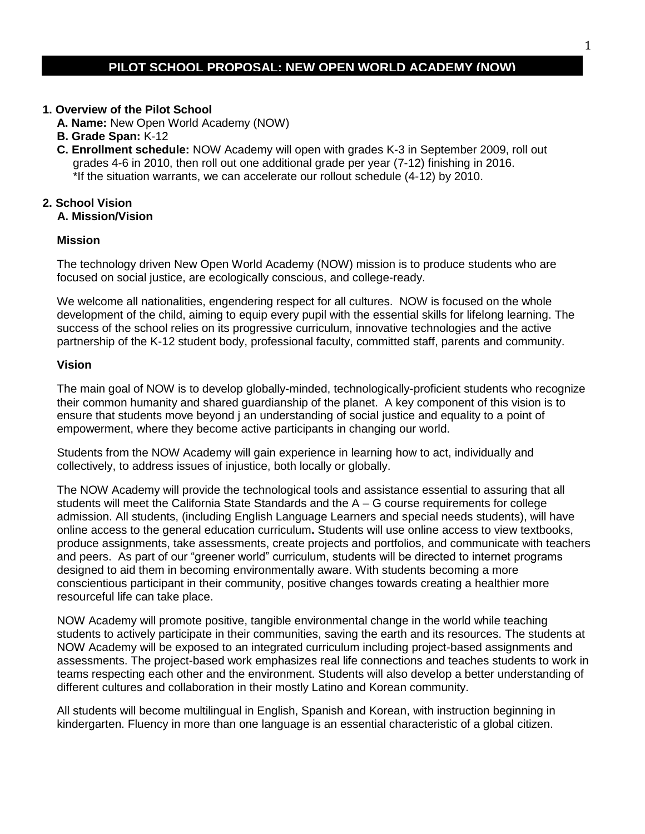## **PILOT SCHOOL PROPOSAL: NEW OPEN WORLD ACADEMY (NOW)**

#### **1. Overview of the Pilot School**

- **A. Name:** New Open World Academy (NOW)
- **B. Grade Span:** K-12
- **C. Enrollment schedule:** NOW Academy will open with grades K-3 in September 2009, roll out grades 4-6 in 2010, then roll out one additional grade per year (7-12) finishing in 2016. \*If the situation warrants, we can accelerate our rollout schedule (4-12) by 2010.

## **2. School Vision**

# **A. Mission/Vision**

#### **Mission**

The technology driven New Open World Academy (NOW) mission is to produce students who are focused on social justice, are ecologically conscious, and college-ready.

We welcome all nationalities, engendering respect for all cultures. NOW is focused on the whole development of the child, aiming to equip every pupil with the essential skills for lifelong learning. The success of the school relies on its progressive curriculum, innovative technologies and the active partnership of the K-12 student body, professional faculty, committed staff, parents and community.

#### **Vision**

The main goal of NOW is to develop globally-minded, technologically-proficient students who recognize their common humanity and shared guardianship of the planet. A key component of this vision is to ensure that students move beyond j an understanding of social justice and equality to a point of empowerment, where they become active participants in changing our world.

Students from the NOW Academy will gain experience in learning how to act, individually and collectively, to address issues of injustice, both locally or globally.

The NOW Academy will provide the technological tools and assistance essential to assuring that all students will meet the California State Standards and the A – G course requirements for college admission. All students, (including English Language Learners and special needs students), will have online access to the general education curriculum**.** Students will use online access to view textbooks, produce assignments, take assessments, create projects and portfolios, and communicate with teachers and peers. As part of our "greener world" curriculum, students will be directed to internet programs designed to aid them in becoming environmentally aware. With students becoming a more conscientious participant in their community, positive changes towards creating a healthier more resourceful life can take place.

NOW Academy will promote positive, tangible environmental change in the world while teaching students to actively participate in their communities, saving the earth and its resources. The students at NOW Academy will be exposed to an integrated curriculum including project-based assignments and assessments. The project-based work emphasizes real life connections and teaches students to work in teams respecting each other and the environment. Students will also develop a better understanding of different cultures and collaboration in their mostly Latino and Korean community.

All students will become multilingual in English, Spanish and Korean, with instruction beginning in kindergarten. Fluency in more than one language is an essential characteristic of a global citizen.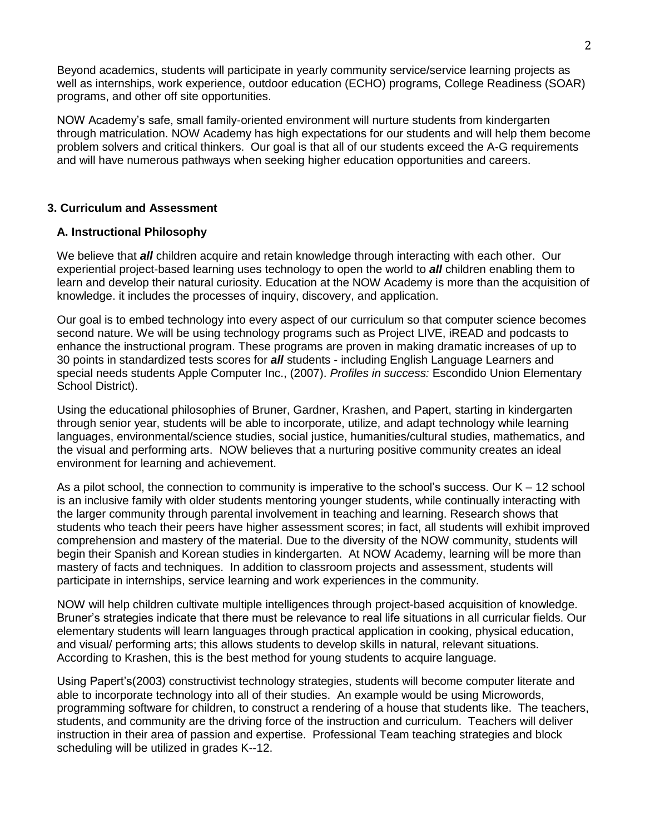Beyond academics, students will participate in yearly community service/service learning projects as well as internships, work experience, outdoor education (ECHO) programs, College Readiness (SOAR) programs, and other off site opportunities.

NOW Academy's safe, small family-oriented environment will nurture students from kindergarten through matriculation. NOW Academy has high expectations for our students and will help them become problem solvers and critical thinkers. Our goal is that all of our students exceed the A-G requirements and will have numerous pathways when seeking higher education opportunities and careers.

## **3. Curriculum and Assessment**

## **A. Instructional Philosophy**

We believe that *all* children acquire and retain knowledge through interacting with each other. Our experiential project-based learning uses technology to open the world to *all* children enabling them to learn and develop their natural curiosity. Education at the NOW Academy is more than the acquisition of knowledge. it includes the processes of inquiry, discovery, and application.

Our goal is to embed technology into every aspect of our curriculum so that computer science becomes second nature. We will be using technology programs such as Project LIVE, iREAD and podcasts to enhance the instructional program. These programs are proven in making dramatic increases of up to 30 points in standardized tests scores for *all* students - including English Language Learners and special needs students Apple Computer Inc., (2007). *Profiles in success:* Escondido Union Elementary School District).

Using the educational philosophies of Bruner, Gardner, Krashen, and Papert, starting in kindergarten through senior year, students will be able to incorporate, utilize, and adapt technology while learning languages, environmental/science studies, social justice, humanities/cultural studies, mathematics, and the visual and performing arts. NOW believes that a nurturing positive community creates an ideal environment for learning and achievement.

As a pilot school, the connection to community is imperative to the school's success. Our  $K - 12$  school is an inclusive family with older students mentoring younger students, while continually interacting with the larger community through parental involvement in teaching and learning. Research shows that students who teach their peers have higher assessment scores; in fact, all students will exhibit improved comprehension and mastery of the material. Due to the diversity of the NOW community, students will begin their Spanish and Korean studies in kindergarten. At NOW Academy, learning will be more than mastery of facts and techniques. In addition to classroom projects and assessment, students will participate in internships, service learning and work experiences in the community.

NOW will help children cultivate multiple intelligences through project-based acquisition of knowledge. Bruner's strategies indicate that there must be relevance to real life situations in all curricular fields. Our elementary students will learn languages through practical application in cooking, physical education, and visual/ performing arts; this allows students to develop skills in natural, relevant situations. According to Krashen, this is the best method for young students to acquire language.

Using Papert's(2003) constructivist technology strategies, students will become computer literate and able to incorporate technology into all of their studies. An example would be using Microwords, programming software for children, to construct a rendering of a house that students like. The teachers, students, and community are the driving force of the instruction and curriculum. Teachers will deliver instruction in their area of passion and expertise. Professional Team teaching strategies and block scheduling will be utilized in grades K--12.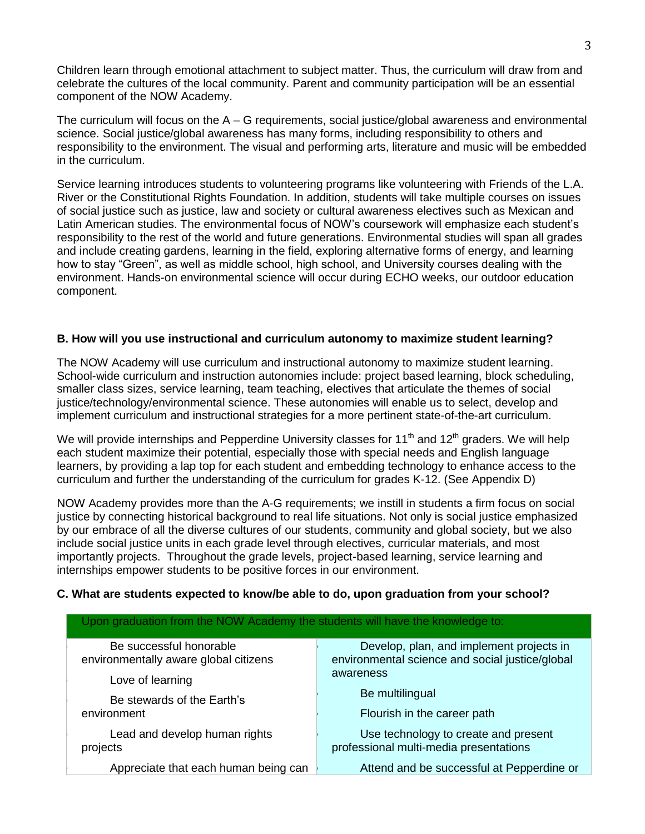Children learn through emotional attachment to subject matter. Thus, the curriculum will draw from and celebrate the cultures of the local community. Parent and community participation will be an essential component of the NOW Academy.

The curriculum will focus on the  $A - G$  requirements, social justice/global awareness and environmental science. Social justice/global awareness has many forms, including responsibility to others and responsibility to the environment. The visual and performing arts, literature and music will be embedded in the curriculum.

Service learning introduces students to volunteering programs like volunteering with Friends of the L.A. River or the Constitutional Rights Foundation. In addition, students will take multiple courses on issues of social justice such as justice, law and society or cultural awareness electives such as Mexican and Latin American studies. The environmental focus of NOW's coursework will emphasize each student's responsibility to the rest of the world and future generations. Environmental studies will span all grades and include creating gardens, learning in the field, exploring alternative forms of energy, and learning how to stay "Green", as well as middle school, high school, and University courses dealing with the environment. Hands-on environmental science will occur during ECHO weeks, our outdoor education component.

#### **B. How will you use instructional and curriculum autonomy to maximize student learning?**

The NOW Academy will use curriculum and instructional autonomy to maximize student learning. School-wide curriculum and instruction autonomies include: project based learning, block scheduling, smaller class sizes, service learning, team teaching, electives that articulate the themes of social justice/technology/environmental science. These autonomies will enable us to select, develop and implement curriculum and instructional strategies for a more pertinent state-of-the-art curriculum.

We will provide internships and Pepperdine University classes for 11<sup>th</sup> and 12<sup>th</sup> graders. We will help each student maximize their potential, especially those with special needs and English language learners, by providing a lap top for each student and embedding technology to enhance access to the curriculum and further the understanding of the curriculum for grades K-12. (See Appendix D)

NOW Academy provides more than the A-G requirements; we instill in students a firm focus on social justice by connecting historical background to real life situations. Not only is social justice emphasized by our embrace of all the diverse cultures of our students, community and global society, but we also include social justice units in each grade level through electives, curricular materials, and most importantly projects. Throughout the grade levels, project-based learning, service learning and internships empower students to be positive forces in our environment.

#### **C. What are students expected to know/be able to do, upon graduation from your school?**

| Upon graduation from the NOW Academy the students will have the knowledge to: |                                                 |  |  |
|-------------------------------------------------------------------------------|-------------------------------------------------|--|--|
| Be successful honorable                                                       | Develop, plan, and implement projects in        |  |  |
| environmentally aware global citizens                                         | environmental science and social justice/global |  |  |
| Love of learning                                                              | awareness                                       |  |  |
| Be stewards of the Earth's                                                    | Be multilingual                                 |  |  |
| environment                                                                   | Flourish in the career path                     |  |  |
| Lead and develop human rights                                                 | Use technology to create and present            |  |  |
| projects                                                                      | professional multi-media presentations          |  |  |
| Appreciate that each human being can                                          | Attend and be successful at Pepperdine or       |  |  |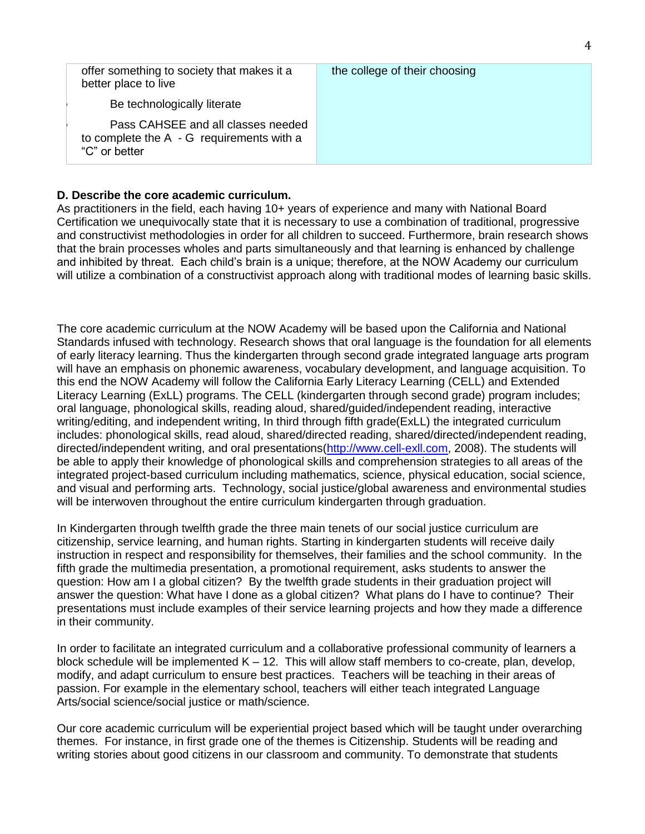| offer something to society that makes it a<br>better place to live                                 | the college of their choosing |
|----------------------------------------------------------------------------------------------------|-------------------------------|
| Be technologically literate                                                                        |                               |
| Pass CAHSEE and all classes needed<br>to complete the $A - G$ requirements with a<br>"C" or better |                               |

#### **D. Describe the core academic curriculum.**

As practitioners in the field, each having 10+ years of experience and many with National Board Certification we unequivocally state that it is necessary to use a combination of traditional, progressive and constructivist methodologies in order for all children to succeed. Furthermore, brain research shows that the brain processes wholes and parts simultaneously and that learning is enhanced by challenge and inhibited by threat. Each child's brain is a unique; therefore, at the NOW Academy our curriculum will utilize a combination of a constructivist approach along with traditional modes of learning basic skills.

The core academic curriculum at the NOW Academy will be based upon the California and National Standards infused with technology. Research shows that oral language is the foundation for all elements of early literacy learning. Thus the kindergarten through second grade integrated language arts program will have an emphasis on phonemic awareness, vocabulary development, and language acquisition. To this end the NOW Academy will follow the California Early Literacy Learning (CELL) and Extended Literacy Learning (ExLL) programs. The CELL (kindergarten through second grade) program includes; oral language, phonological skills, reading aloud, shared/guided/independent reading, interactive writing/editing, and independent writing, In third through fifth grade(ExLL) the integrated curriculum includes: phonological skills, read aloud, shared/directed reading, shared/directed/independent reading, directed/independent writing, and oral presentations[\(http://www.cell-exll.com,](http://www.cell-exll.com/) 2008). The students will be able to apply their knowledge of phonological skills and comprehension strategies to all areas of the integrated project-based curriculum including mathematics, science, physical education, social science, and visual and performing arts. Technology, social justice/global awareness and environmental studies will be interwoven throughout the entire curriculum kindergarten through graduation.

In Kindergarten through twelfth grade the three main tenets of our social justice curriculum are citizenship, service learning, and human rights. Starting in kindergarten students will receive daily instruction in respect and responsibility for themselves, their families and the school community. In the fifth grade the multimedia presentation, a promotional requirement, asks students to answer the question: How am I a global citizen? By the twelfth grade students in their graduation project will answer the question: What have I done as a global citizen? What plans do I have to continue? Their presentations must include examples of their service learning projects and how they made a difference in their community.

In order to facilitate an integrated curriculum and a collaborative professional community of learners a block schedule will be implemented  $K - 12$ . This will allow staff members to co-create, plan, develop, modify, and adapt curriculum to ensure best practices. Teachers will be teaching in their areas of passion. For example in the elementary school, teachers will either teach integrated Language Arts/social science/social justice or math/science.

Our core academic curriculum will be experiential project based which will be taught under overarching themes. For instance, in first grade one of the themes is Citizenship. Students will be reading and writing stories about good citizens in our classroom and community. To demonstrate that students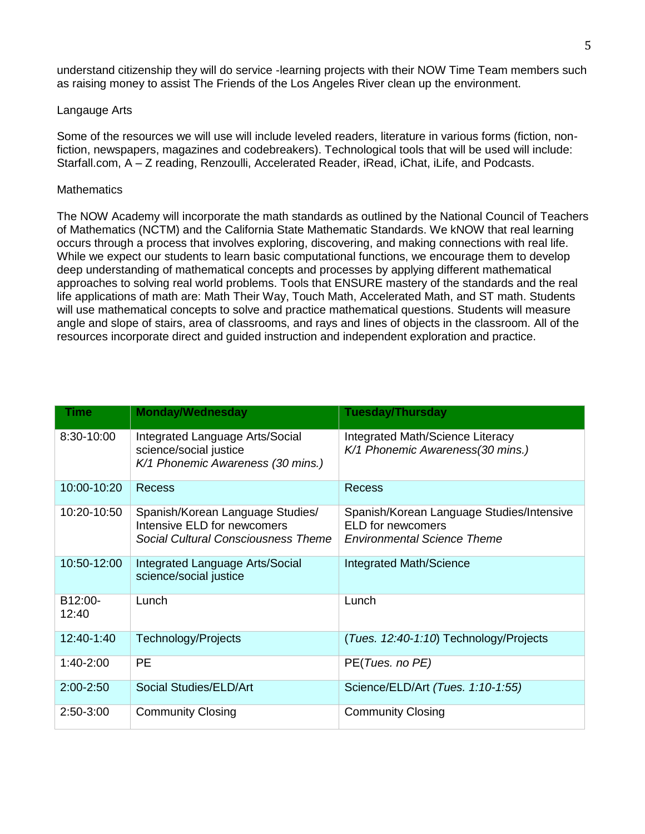understand citizenship they will do service -learning projects with their NOW Time Team members such as raising money to assist The Friends of the Los Angeles River clean up the environment.

#### Langauge Arts

Some of the resources we will use will include leveled readers, literature in various forms (fiction, nonfiction, newspapers, magazines and codebreakers). Technological tools that will be used will include: Starfall.com, A – Z reading, Renzoulli, Accelerated Reader, iRead, iChat, iLife, and Podcasts.

#### **Mathematics**

The NOW Academy will incorporate the math standards as outlined by the National Council of Teachers of Mathematics (NCTM) and the California State Mathematic Standards. We kNOW that real learning occurs through a process that involves exploring, discovering, and making connections with real life. While we expect our students to learn basic computational functions, we encourage them to develop deep understanding of mathematical concepts and processes by applying different mathematical approaches to solving real world problems. Tools that ENSURE mastery of the standards and the real life applications of math are: Math Their Way, Touch Math, Accelerated Math, and ST math. Students will use mathematical concepts to solve and practice mathematical questions. Students will measure angle and slope of stairs, area of classrooms, and rays and lines of objects in the classroom. All of the resources incorporate direct and guided instruction and independent exploration and practice.

| Time                          | <b>Monday/Wednesday</b>                                                                                | <b>Tuesday/Thursday</b>                                                                                     |
|-------------------------------|--------------------------------------------------------------------------------------------------------|-------------------------------------------------------------------------------------------------------------|
| 8:30-10:00                    | Integrated Language Arts/Social<br>science/social justice<br>K/1 Phonemic Awareness (30 mins.)         | Integrated Math/Science Literacy<br>K/1 Phonemic Awareness(30 mins.)                                        |
| 10:00-10:20                   | <b>Recess</b>                                                                                          | <b>Recess</b>                                                                                               |
| 10:20-10:50                   | Spanish/Korean Language Studies/<br>Intensive ELD for newcomers<br>Social Cultural Consciousness Theme | Spanish/Korean Language Studies/Intensive<br><b>ELD</b> for newcomers<br><b>Environmental Science Theme</b> |
| 10:50-12:00                   | Integrated Language Arts/Social<br>science/social justice                                              | Integrated Math/Science                                                                                     |
| B <sub>12</sub> :00-<br>12:40 | Lunch                                                                                                  | Lunch                                                                                                       |
| 12:40-1:40                    | Technology/Projects                                                                                    | (Tues. 12:40-1:10) Technology/Projects                                                                      |
| $1:40-2:00$                   | <b>PE</b>                                                                                              | PE(Tues. no PE)                                                                                             |
| $2:00 - 2:50$                 | Social Studies/ELD/Art                                                                                 | Science/ELD/Art (Tues. 1:10-1:55)                                                                           |
| $2:50-3:00$                   | <b>Community Closing</b>                                                                               | <b>Community Closing</b>                                                                                    |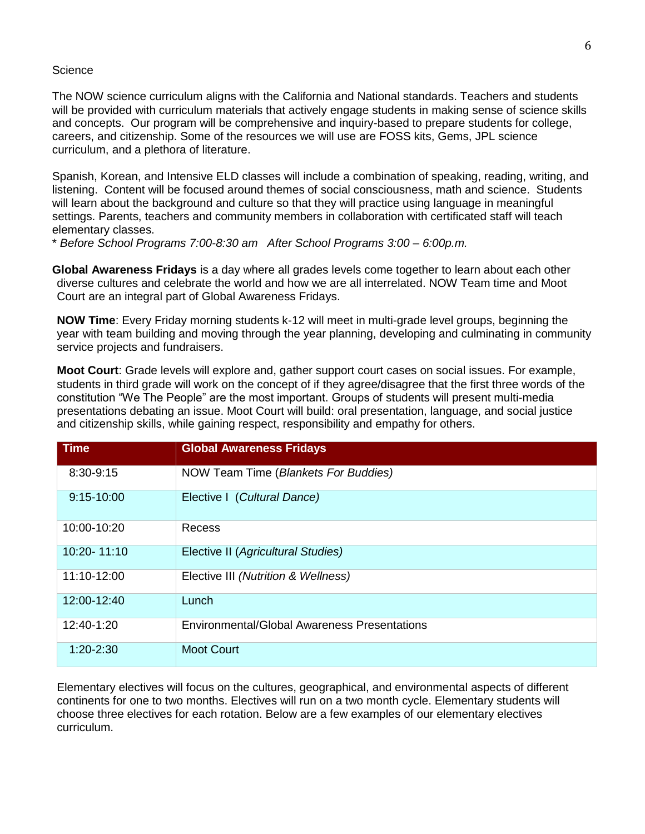#### **Science**

The NOW science curriculum aligns with the California and National standards. Teachers and students will be provided with curriculum materials that actively engage students in making sense of science skills and concepts. Our program will be comprehensive and inquiry-based to prepare students for college, careers, and citizenship. Some of the resources we will use are FOSS kits, Gems, JPL science curriculum, and a plethora of literature.

Spanish, Korean, and Intensive ELD classes will include a combination of speaking, reading, writing, and listening. Content will be focused around themes of social consciousness, math and science. Students will learn about the background and culture so that they will practice using language in meaningful settings. Parents, teachers and community members in collaboration with certificated staff will teach elementary classes.

\* *Before School Programs 7:00-8:30 am After School Programs 3:00 – 6:00p.m.*

**Global Awareness Fridays** is a day where all grades levels come together to learn about each other diverse cultures and celebrate the world and how we are all interrelated. NOW Team time and Moot Court are an integral part of Global Awareness Fridays.

**NOW Time**: Every Friday morning students k-12 will meet in multi-grade level groups, beginning the year with team building and moving through the year planning, developing and culminating in community service projects and fundraisers.

**Moot Court**: Grade levels will explore and, gather support court cases on social issues. For example, students in third grade will work on the concept of if they agree/disagree that the first three words of the constitution "We The People" are the most important. Groups of students will present multi-media presentations debating an issue. Moot Court will build: oral presentation, language, and social justice and citizenship skills, while gaining respect, responsibility and empathy for others.

| <b>Time</b>     | <b>Global Awareness Fridays</b>                     |
|-----------------|-----------------------------------------------------|
| 8:30-9:15       | NOW Team Time (Blankets For Buddies)                |
| $9:15-10:00$    | Elective I (Cultural Dance)                         |
| 10:00-10:20     | Recess                                              |
| $10:20 - 11:10$ | Elective II (Agricultural Studies)                  |
| 11:10-12:00     | Elective III (Nutrition & Wellness)                 |
| 12:00-12:40     | Lunch                                               |
| 12:40-1:20      | <b>Environmental/Global Awareness Presentations</b> |
| $1:20 - 2:30$   | <b>Moot Court</b>                                   |

Elementary electives will focus on the cultures, geographical, and environmental aspects of different continents for one to two months. Electives will run on a two month cycle. Elementary students will choose three electives for each rotation. Below are a few examples of our elementary electives curriculum.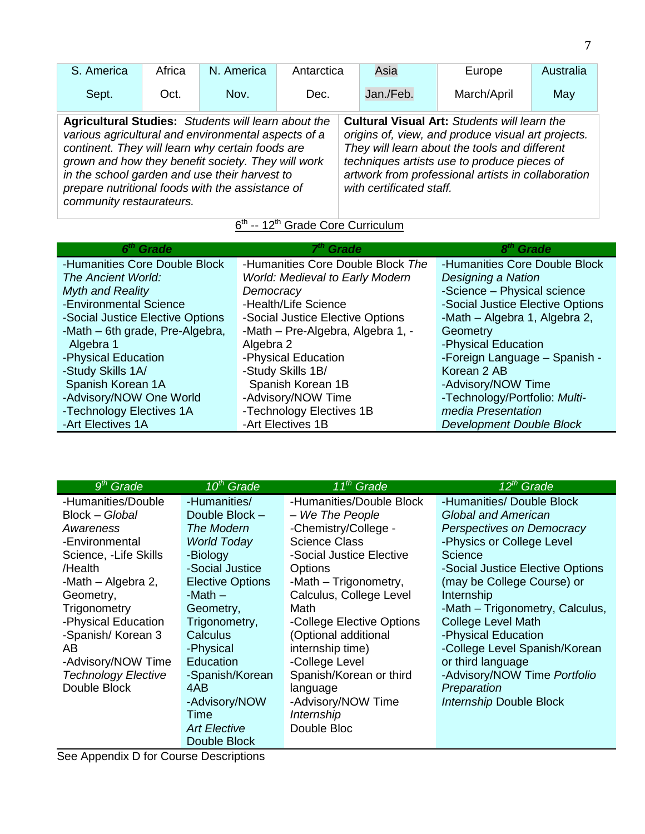| S. America                                                                                                                                                                                                                                                                                                                                                   | Africa | N. America | Antarctica |  | Asia                     | Europe                                                                                                                                                                                                                                                          | Australia |
|--------------------------------------------------------------------------------------------------------------------------------------------------------------------------------------------------------------------------------------------------------------------------------------------------------------------------------------------------------------|--------|------------|------------|--|--------------------------|-----------------------------------------------------------------------------------------------------------------------------------------------------------------------------------------------------------------------------------------------------------------|-----------|
| Sept.                                                                                                                                                                                                                                                                                                                                                        | Oct.   | Nov.       | Dec.       |  | Jan./Feb.                | March/April                                                                                                                                                                                                                                                     | May       |
| <b>Agricultural Studies:</b> Students will learn about the<br>various agricultural and environmental aspects of a<br>continent. They will learn why certain foods are<br>grown and how they benefit society. They will work<br>in the school garden and use their harvest to<br>prepare nutritional foods with the assistance of<br>community restaurateurs. |        |            |            |  | with certificated staff. | <b>Cultural Visual Art: Students will learn the</b><br>origins of, view, and produce visual art projects.<br>They will learn about the tools and different<br>techniques artists use to produce pieces of<br>artwork from professional artists in collaboration |           |

## 6<sup>th</sup> -- 12<sup>th</sup> Grade Core Curriculum

| 6 <sup>th</sup> Grade            | 7 <sup>th</sup> Grade                  | 8 <sup>th</sup> Grade            |
|----------------------------------|----------------------------------------|----------------------------------|
| -Humanities Core Double Block    | -Humanities Core Double Block The      | -Humanities Core Double Block    |
| The Ancient World:               | <b>World: Medieval to Early Modern</b> | Designing a Nation               |
| <b>Myth and Reality</b>          | Democracy                              | -Science - Physical science      |
| -Environmental Science           | -Health/Life Science                   | -Social Justice Elective Options |
| -Social Justice Elective Options | -Social Justice Elective Options       | -Math - Algebra 1, Algebra 2,    |
| -Math - 6th grade, Pre-Algebra,  | -Math - Pre-Algebra, Algebra 1, -      | Geometry                         |
| Algebra 1                        | Algebra 2                              | -Physical Education              |
| -Physical Education              | -Physical Education                    | -Foreign Language - Spanish -    |
| -Study Skills 1A/                | -Study Skills 1B/                      | Korean 2 AB                      |
| Spanish Korean 1A                | Spanish Korean 1B                      | -Advisory/NOW Time               |
| -Advisory/NOW One World          | -Advisory/NOW Time                     | -Technology/Portfolio: Multi-    |
| -Technology Electives 1A         | -Technology Electives 1B               | media Presentation               |
| -Art Electives 1A                | -Art Electives 1B                      | <b>Development Double Block</b>  |

| $9th$ Grade                | $10th$ Grade            | $11^{th}$ Grade           | 12 <sup>th</sup> Grade           |
|----------------------------|-------------------------|---------------------------|----------------------------------|
| -Humanities/Double         | -Humanities/            | -Humanities/Double Block  | -Humanities/ Double Block        |
| Block - Global             | Double Block -          | - We The People           | <b>Global and American</b>       |
| Awareness                  | The Modern              | -Chemistry/College -      | Perspectives on Democracy        |
| -Environmental             | <b>World Today</b>      | <b>Science Class</b>      | -Physics or College Level        |
| Science, -Life Skills      | -Biology                | -Social Justice Elective  | Science                          |
| /Health                    | -Social Justice         | <b>Options</b>            | -Social Justice Elective Options |
| -Math - Algebra 2,         | <b>Elective Options</b> | -Math – Trigonometry,     | (may be College Course) or       |
| Geometry,                  | -Math $-$               | Calculus, College Level   | Internship                       |
| Trigonometry               | Geometry,               | Math                      | -Math - Trigonometry, Calculus,  |
| -Physical Education        | Trigonometry,           | -College Elective Options | <b>College Level Math</b>        |
| -Spanish/ Korean 3         | Calculus                | (Optional additional      | -Physical Education              |
| AB                         | -Physical               | internship time)          | -College Level Spanish/Korean    |
| -Advisory/NOW Time         | Education               | -College Level            | or third language                |
| <b>Technology Elective</b> | -Spanish/Korean         | Spanish/Korean or third   | -Advisory/NOW Time Portfolio     |
| Double Block               | 4AB                     | language                  | Preparation                      |
|                            | -Advisory/NOW           | -Advisory/NOW Time        | <b>Internship Double Block</b>   |
|                            | Time                    | Internship                |                                  |
|                            | <b>Art Elective</b>     | Double Bloc               |                                  |
|                            | Double Block            |                           |                                  |

See Appendix D for Course Descriptions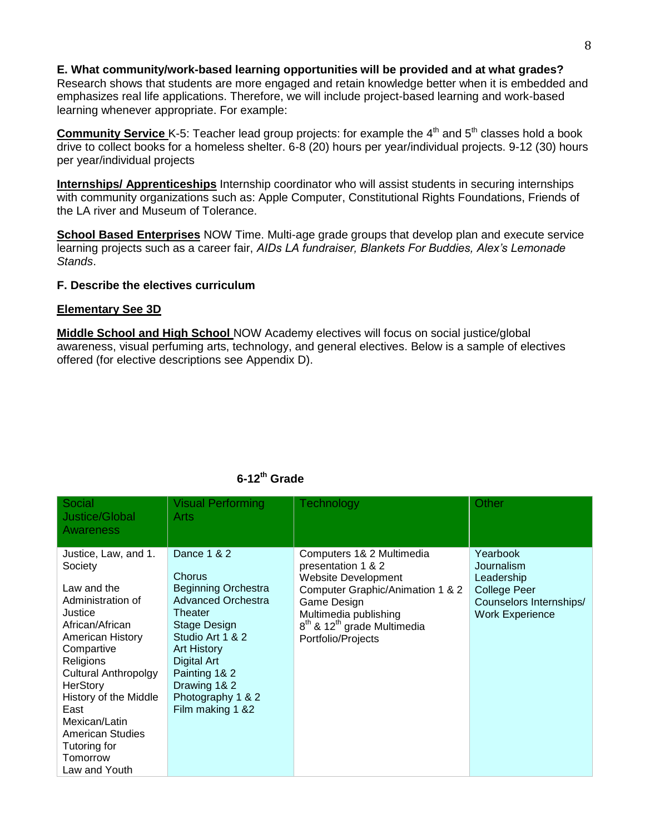#### **E. What community/work-based learning opportunities will be provided and at what grades?**

Research shows that students are more engaged and retain knowledge better when it is embedded and emphasizes real life applications. Therefore, we will include project-based learning and work-based learning whenever appropriate. For example:

**Community Service** K-5: Teacher lead group projects: for example the 4<sup>th</sup> and 5<sup>th</sup> classes hold a book drive to collect books for a homeless shelter. 6-8 (20) hours per year/individual projects. 9-12 (30) hours per year/individual projects

**Internships/ Apprenticeships** Internship coordinator who will assist students in securing internships with community organizations such as: Apple Computer, Constitutional Rights Foundations, Friends of the LA river and Museum of Tolerance.

**School Based Enterprises** NOW Time. Multi-age grade groups that develop plan and execute service learning projects such as a career fair, *AIDs LA fundraiser, Blankets For Buddies, Alex's Lemonade Stands*.

#### **F. Describe the electives curriculum**

#### **Elementary See 3D**

**Middle School and High School** NOW Academy electives will focus on social justice/global awareness, visual perfuming arts, technology, and general electives. Below is a sample of electives offered (for elective descriptions see Appendix D).

| Social<br>Justice/Global<br>Awareness                                                                                                                                                                                                                                                                                 | <b>Visual Performing</b><br>Arts                                                                                                                                                                                                               | <b>Technology</b>                                                                                                                                                                                                                      | Other                                                                                                     |
|-----------------------------------------------------------------------------------------------------------------------------------------------------------------------------------------------------------------------------------------------------------------------------------------------------------------------|------------------------------------------------------------------------------------------------------------------------------------------------------------------------------------------------------------------------------------------------|----------------------------------------------------------------------------------------------------------------------------------------------------------------------------------------------------------------------------------------|-----------------------------------------------------------------------------------------------------------|
| Justice, Law, and 1.<br>Society<br>Law and the<br>Administration of<br>Justice<br>African/African<br>American History<br>Compartive<br>Religions<br><b>Cultural Anthropolgy</b><br>HerStory<br>History of the Middle<br>East<br>Mexican/Latin<br><b>American Studies</b><br>Tutoring for<br>Tomorrow<br>Law and Youth | Dance 1 & 2<br>Chorus<br><b>Beginning Orchestra</b><br><b>Advanced Orchestra</b><br>Theater<br>Stage Design<br>Studio Art 1 & 2<br><b>Art History</b><br>Digital Art<br>Painting 1& 2<br>Drawing 1& 2<br>Photography 1 & 2<br>Film making 1 &2 | Computers 1& 2 Multimedia<br>presentation 1 & 2<br><b>Website Development</b><br>Computer Graphic/Animation 1 & 2<br>Game Design<br>Multimedia publishing<br>8 <sup>th</sup> & 12 <sup>th</sup> grade Multimedia<br>Portfolio/Projects | Yearbook<br>Journalism<br>Leadership<br>College Peer<br>Counselors Internships/<br><b>Work Experience</b> |

## **6-12th Grade**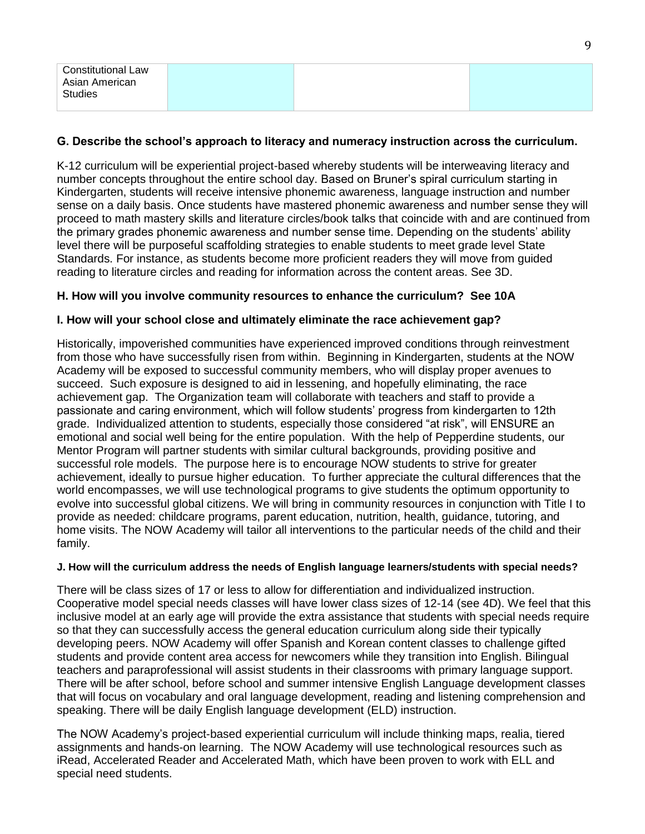## **G. Describe the school's approach to literacy and numeracy instruction across the curriculum.**

K-12 curriculum will be experiential project-based whereby students will be interweaving literacy and number concepts throughout the entire school day. Based on Bruner's spiral curriculum starting in Kindergarten, students will receive intensive phonemic awareness, language instruction and number sense on a daily basis. Once students have mastered phonemic awareness and number sense they will proceed to math mastery skills and literature circles/book talks that coincide with and are continued from the primary grades phonemic awareness and number sense time. Depending on the students' ability level there will be purposeful scaffolding strategies to enable students to meet grade level State Standards. For instance, as students become more proficient readers they will move from guided reading to literature circles and reading for information across the content areas. See 3D.

## **H. How will you involve community resources to enhance the curriculum? See 10A**

#### **I. How will your school close and ultimately eliminate the race achievement gap?**

Historically, impoverished communities have experienced improved conditions through reinvestment from those who have successfully risen from within. Beginning in Kindergarten, students at the NOW Academy will be exposed to successful community members, who will display proper avenues to succeed. Such exposure is designed to aid in lessening, and hopefully eliminating, the race achievement gap. The Organization team will collaborate with teachers and staff to provide a passionate and caring environment, which will follow students' progress from kindergarten to 12th grade. Individualized attention to students, especially those considered "at risk", will ENSURE an emotional and social well being for the entire population. With the help of Pepperdine students, our Mentor Program will partner students with similar cultural backgrounds, providing positive and successful role models. The purpose here is to encourage NOW students to strive for greater achievement, ideally to pursue higher education. To further appreciate the cultural differences that the world encompasses, we will use technological programs to give students the optimum opportunity to evolve into successful global citizens. We will bring in community resources in conjunction with Title I to provide as needed: childcare programs, parent education, nutrition, health, guidance, tutoring, and home visits. The NOW Academy will tailor all interventions to the particular needs of the child and their family.

#### **J. How will the curriculum address the needs of English language learners/students with special needs?**

There will be class sizes of 17 or less to allow for differentiation and individualized instruction. Cooperative model special needs classes will have lower class sizes of 12-14 (see 4D). We feel that this inclusive model at an early age will provide the extra assistance that students with special needs require so that they can successfully access the general education curriculum along side their typically developing peers. NOW Academy will offer Spanish and Korean content classes to challenge gifted students and provide content area access for newcomers while they transition into English. Bilingual teachers and paraprofessional will assist students in their classrooms with primary language support. There will be after school, before school and summer intensive English Language development classes that will focus on vocabulary and oral language development, reading and listening comprehension and speaking. There will be daily English language development (ELD) instruction.

The NOW Academy's project-based experiential curriculum will include thinking maps, realia, tiered assignments and hands-on learning. The NOW Academy will use technological resources such as iRead, Accelerated Reader and Accelerated Math, which have been proven to work with ELL and special need students.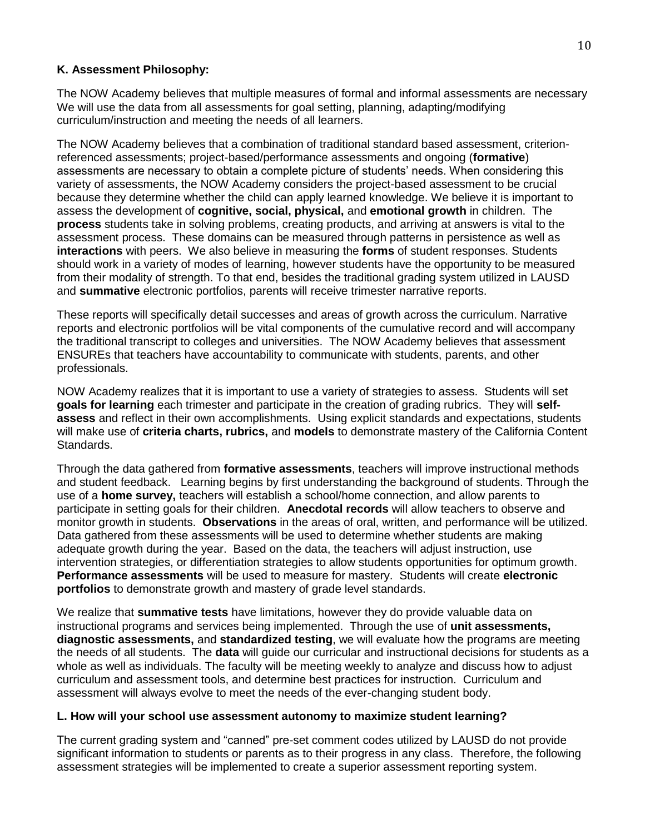## **K. Assessment Philosophy:**

The NOW Academy believes that multiple measures of formal and informal assessments are necessary We will use the data from all assessments for goal setting, planning, adapting/modifying curriculum/instruction and meeting the needs of all learners.

The NOW Academy believes that a combination of traditional standard based assessment, criterionreferenced assessments; project-based/performance assessments and ongoing (**formative**) assessments are necessary to obtain a complete picture of students' needs. When considering this variety of assessments, the NOW Academy considers the project-based assessment to be crucial because they determine whether the child can apply learned knowledge. We believe it is important to assess the development of **cognitive, social, physical,** and **emotional growth** in children. The **process** students take in solving problems, creating products, and arriving at answers is vital to the assessment process. These domains can be measured through patterns in persistence as well as **interactions** with peers. We also believe in measuring the **forms** of student responses. Students should work in a variety of modes of learning, however students have the opportunity to be measured from their modality of strength. To that end, besides the traditional grading system utilized in LAUSD and **summative** electronic portfolios, parents will receive trimester narrative reports.

These reports will specifically detail successes and areas of growth across the curriculum. Narrative reports and electronic portfolios will be vital components of the cumulative record and will accompany the traditional transcript to colleges and universities. The NOW Academy believes that assessment ENSUREs that teachers have accountability to communicate with students, parents, and other professionals.

NOW Academy realizes that it is important to use a variety of strategies to assess. Students will set **goals for learning** each trimester and participate in the creation of grading rubrics. They will **selfassess** and reflect in their own accomplishments. Using explicit standards and expectations, students will make use of **criteria charts, rubrics,** and **models** to demonstrate mastery of the California Content Standards.

Through the data gathered from **formative assessments**, teachers will improve instructional methods and student feedback. Learning begins by first understanding the background of students. Through the use of a **home survey,** teachers will establish a school/home connection, and allow parents to participate in setting goals for their children. **Anecdotal records** will allow teachers to observe and monitor growth in students. **Observations** in the areas of oral, written, and performance will be utilized. Data gathered from these assessments will be used to determine whether students are making adequate growth during the year. Based on the data, the teachers will adjust instruction, use intervention strategies, or differentiation strategies to allow students opportunities for optimum growth. **Performance assessments** will be used to measure for mastery. Students will create **electronic portfolios** to demonstrate growth and mastery of grade level standards.

We realize that **summative tests** have limitations, however they do provide valuable data on instructional programs and services being implemented. Through the use of **unit assessments, diagnostic assessments,** and **standardized testing**, we will evaluate how the programs are meeting the needs of all students. The **data** will guide our curricular and instructional decisions for students as a whole as well as individuals. The faculty will be meeting weekly to analyze and discuss how to adjust curriculum and assessment tools, and determine best practices for instruction. Curriculum and assessment will always evolve to meet the needs of the ever-changing student body.

## **L. How will your school use assessment autonomy to maximize student learning?**

The current grading system and "canned" pre-set comment codes utilized by LAUSD do not provide significant information to students or parents as to their progress in any class. Therefore, the following assessment strategies will be implemented to create a superior assessment reporting system.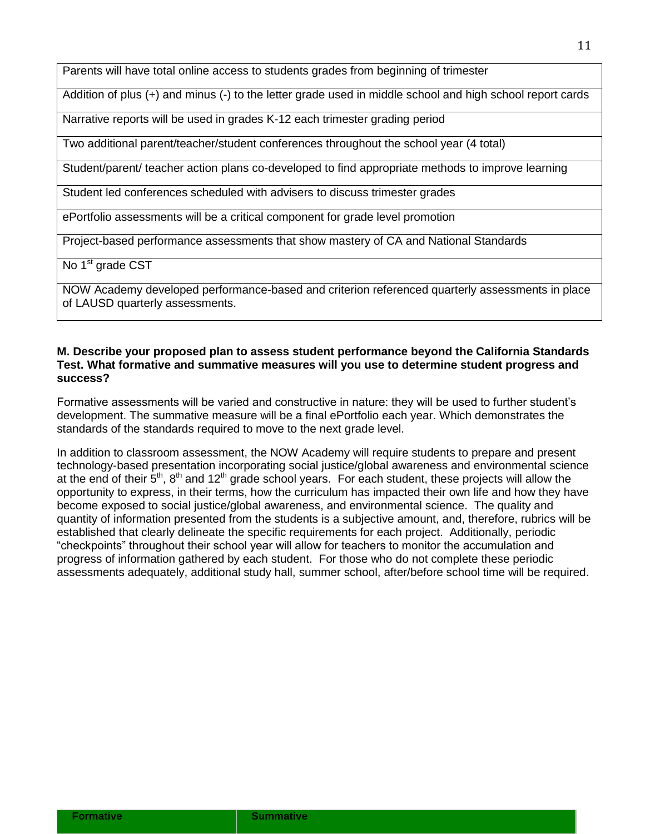Parents will have total online access to students grades from beginning of trimester

Addition of plus (+) and minus (-) to the letter grade used in middle school and high school report cards

Narrative reports will be used in grades K-12 each trimester grading period

Two additional parent/teacher/student conferences throughout the school year (4 total)

Student/parent/ teacher action plans co-developed to find appropriate methods to improve learning

Student led conferences scheduled with advisers to discuss trimester grades

ePortfolio assessments will be a critical component for grade level promotion

Project-based performance assessments that show mastery of CA and National Standards

No 1<sup>st</sup> grade CST

NOW Academy developed performance-based and criterion referenced quarterly assessments in place of LAUSD quarterly assessments.

#### **M. Describe your proposed plan to assess student performance beyond the California Standards Test. What formative and summative measures will you use to determine student progress and success?**

Formative assessments will be varied and constructive in nature: they will be used to further student's development. The summative measure will be a final ePortfolio each year. Which demonstrates the standards of the standards required to move to the next grade level.

In addition to classroom assessment, the NOW Academy will require students to prepare and present technology-based presentation incorporating social justice/global awareness and environmental science at the end of their  $5<sup>th</sup>$ ,  $8<sup>th</sup>$  and 12<sup>th</sup> grade school years. For each student, these projects will allow the opportunity to express, in their terms, how the curriculum has impacted their own life and how they have become exposed to social justice/global awareness, and environmental science. The quality and quantity of information presented from the students is a subjective amount, and, therefore, rubrics will be established that clearly delineate the specific requirements for each project. Additionally, periodic "checkpoints" throughout their school year will allow for teachers to monitor the accumulation and progress of information gathered by each student. For those who do not complete these periodic assessments adequately, additional study hall, summer school, after/before school time will be required.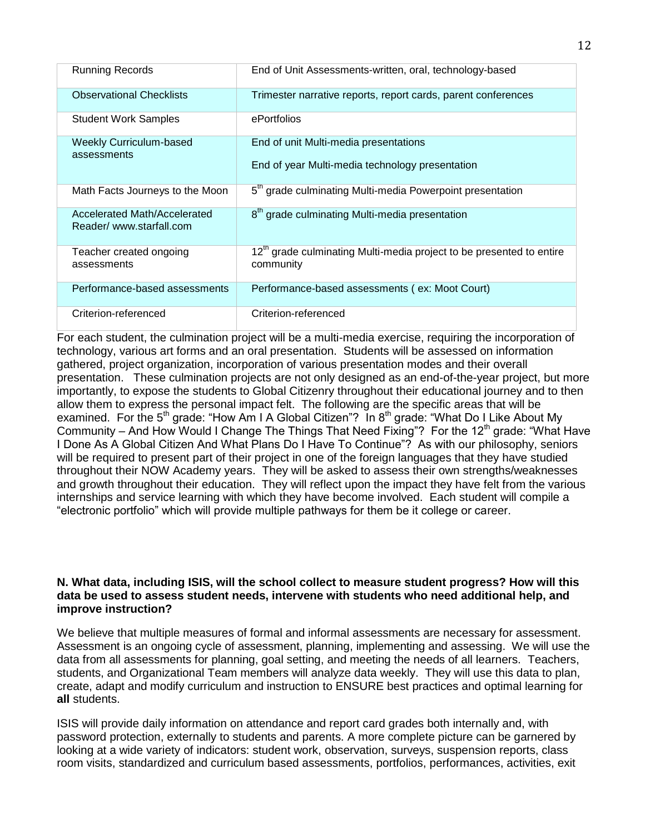| <b>Running Records</b>                                  | End of Unit Assessments-written, oral, technology-based                                       |
|---------------------------------------------------------|-----------------------------------------------------------------------------------------------|
| <b>Observational Checklists</b>                         | Trimester narrative reports, report cards, parent conferences                                 |
| <b>Student Work Samples</b>                             | ePortfolios                                                                                   |
| <b>Weekly Curriculum-based</b>                          | End of unit Multi-media presentations                                                         |
| assessments                                             | End of year Multi-media technology presentation                                               |
| Math Facts Journeys to the Moon                         | 5 <sup>th</sup> grade culminating Multi-media Powerpoint presentation                         |
| Accelerated Math/Accelerated<br>Reader/www.starfall.com | 8 <sup>th</sup> grade culminating Multi-media presentation                                    |
| Teacher created ongoing<br>assessments                  | 12 <sup>th</sup> grade culminating Multi-media project to be presented to entire<br>community |
| Performance-based assessments                           | Performance-based assessments (ex: Moot Court)                                                |
| Criterion-referenced                                    | Criterion-referenced                                                                          |

For each student, the culmination project will be a multi-media exercise, requiring the incorporation of technology, various art forms and an oral presentation. Students will be assessed on information gathered, project organization, incorporation of various presentation modes and their overall presentation. These culmination projects are not only designed as an end-of-the-year project, but more importantly, to expose the students to Global Citizenry throughout their educational journey and to then allow them to express the personal impact felt. The following are the specific areas that will be examined. For the 5<sup>th</sup> grade: "How Am I A Global Citizen"? In 8<sup>th</sup> grade: "What Do I Like About My Community – And How Would I Change The Things That Need Fixing"? For the 12<sup>th</sup> grade: "What Have I Done As A Global Citizen And What Plans Do I Have To Continue"? As with our philosophy, seniors will be required to present part of their project in one of the foreign languages that they have studied throughout their NOW Academy years. They will be asked to assess their own strengths/weaknesses and growth throughout their education. They will reflect upon the impact they have felt from the various internships and service learning with which they have become involved. Each student will compile a "electronic portfolio" which will provide multiple pathways for them be it college or career.

#### **N. What data, including ISIS, will the school collect to measure student progress? How will this data be used to assess student needs, intervene with students who need additional help, and improve instruction?**

We believe that multiple measures of formal and informal assessments are necessary for assessment. Assessment is an ongoing cycle of assessment, planning, implementing and assessing. We will use the data from all assessments for planning, goal setting, and meeting the needs of all learners. Teachers, students, and Organizational Team members will analyze data weekly. They will use this data to plan, create, adapt and modify curriculum and instruction to ENSURE best practices and optimal learning for **all** students.

ISIS will provide daily information on attendance and report card grades both internally and, with password protection, externally to students and parents. A more complete picture can be garnered by looking at a wide variety of indicators: student work, observation, surveys, suspension reports, class room visits, standardized and curriculum based assessments, portfolios, performances, activities, exit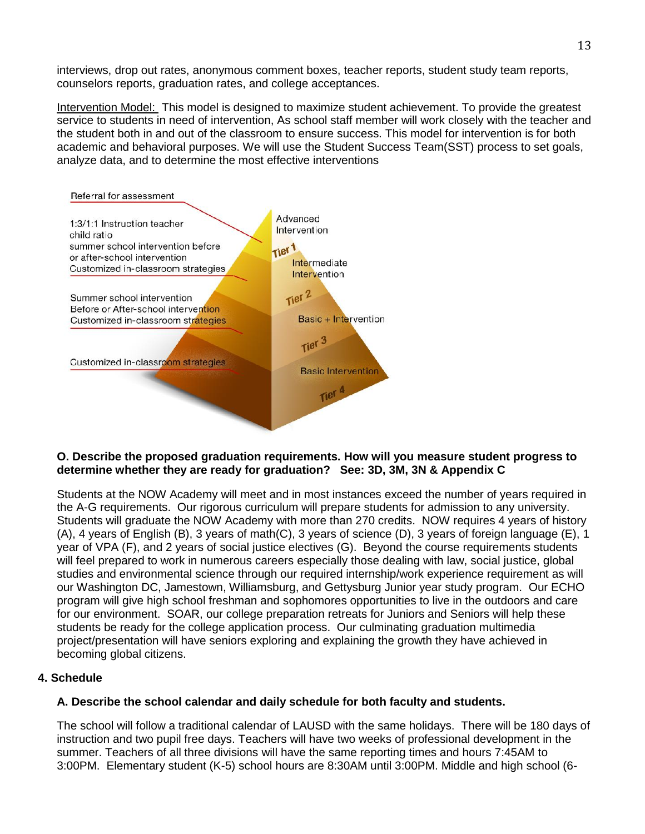interviews, drop out rates, anonymous comment boxes, teacher reports, student study team reports, counselors reports, graduation rates, and college acceptances.

Intervention Model: This model is designed to maximize student achievement. To provide the greatest service to students in need of intervention, As school staff member will work closely with the teacher and the student both in and out of the classroom to ensure success. This model for intervention is for both academic and behavioral purposes. We will use the Student Success Team(SST) process to set goals, analyze data, and to determine the most effective interventions



#### **O. Describe the proposed graduation requirements. How will you measure student progress to determine whether they are ready for graduation? See: 3D, 3M, 3N & Appendix C**

Students at the NOW Academy will meet and in most instances exceed the number of years required in the A-G requirements. Our rigorous curriculum will prepare students for admission to any university. Students will graduate the NOW Academy with more than 270 credits. NOW requires 4 years of history (A), 4 years of English (B), 3 years of math(C), 3 years of science (D), 3 years of foreign language (E), 1 year of VPA (F), and 2 years of social justice electives (G). Beyond the course requirements students will feel prepared to work in numerous careers especially those dealing with law, social justice, global studies and environmental science through our required internship/work experience requirement as will our Washington DC, Jamestown, Williamsburg, and Gettysburg Junior year study program. Our ECHO program will give high school freshman and sophomores opportunities to live in the outdoors and care for our environment. SOAR, our college preparation retreats for Juniors and Seniors will help these students be ready for the college application process. Our culminating graduation multimedia project/presentation will have seniors exploring and explaining the growth they have achieved in becoming global citizens.

# **4. Schedule**

## **A. Describe the school calendar and daily schedule for both faculty and students.**

The school will follow a traditional calendar of LAUSD with the same holidays. There will be 180 days of instruction and two pupil free days. Teachers will have two weeks of professional development in the summer. Teachers of all three divisions will have the same reporting times and hours 7:45AM to 3:00PM. Elementary student (K-5) school hours are 8:30AM until 3:00PM. Middle and high school (6-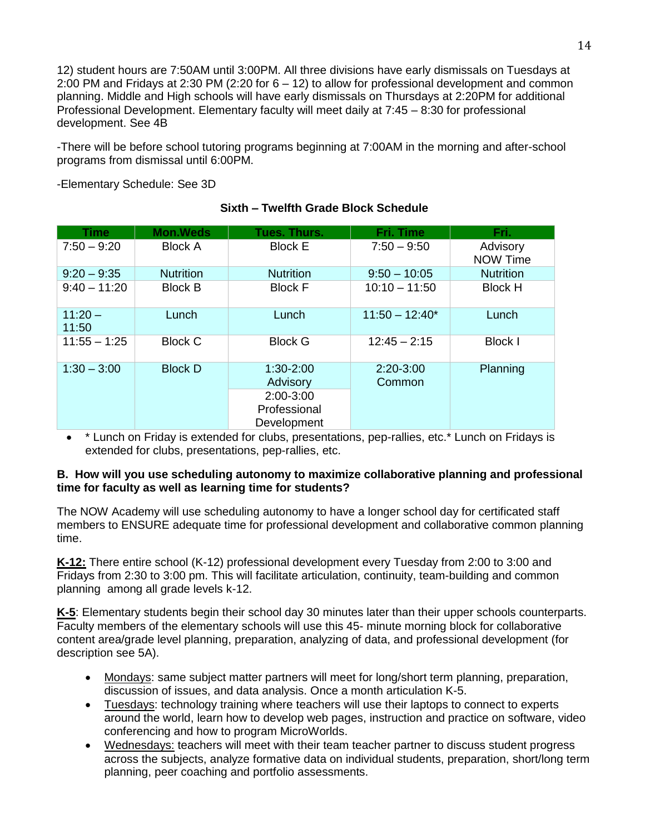12) student hours are 7:50AM until 3:00PM. All three divisions have early dismissals on Tuesdays at 2:00 PM and Fridays at 2:30 PM (2:20 for 6 – 12) to allow for professional development and common planning. Middle and High schools will have early dismissals on Thursdays at 2:20PM for additional Professional Development. Elementary faculty will meet daily at 7:45 – 8:30 for professional development. See 4B

-There will be before school tutoring programs beginning at 7:00AM in the morning and after-school programs from dismissal until 6:00PM.

-Elementary Schedule: See 3D

| Time               | <b>Mon.Weds</b>  | Tues. Thurs.                                                              | Fri. Time             | Fri.                 |
|--------------------|------------------|---------------------------------------------------------------------------|-----------------------|----------------------|
| $7:50 - 9:20$      | <b>Block A</b>   | <b>Block E</b>                                                            | $7:50 - 9:50$         | Advisory<br>NOW Time |
| $9:20 - 9:35$      | <b>Nutrition</b> | <b>Nutrition</b>                                                          | $9:50 - 10:05$        | <b>Nutrition</b>     |
| $9:40 - 11:20$     | <b>Block B</b>   | <b>Block F</b>                                                            | $10:10 - 11:50$       | <b>Block H</b>       |
| $11:20 -$<br>11:50 | Lunch            | Lunch                                                                     | $11:50 - 12:40*$      | Lunch                |
| $11:55 - 1:25$     | <b>Block C</b>   | <b>Block G</b>                                                            | $12:45 - 2:15$        | Block I              |
| $1:30 - 3:00$      | <b>Block D</b>   | $1:30 - 2:00$<br>Advisory<br>$2:00 - 3:00$<br>Professional<br>Development | $2:20-3:00$<br>Common | Planning             |

# **Sixth – Twelfth Grade Block Schedule**

 \* Lunch on Friday is extended for clubs, presentations, pep-rallies, etc.\* Lunch on Fridays is extended for clubs, presentations, pep-rallies, etc.

#### **B. How will you use scheduling autonomy to maximize collaborative planning and professional time for faculty as well as learning time for students?**

The NOW Academy will use scheduling autonomy to have a longer school day for certificated staff members to ENSURE adequate time for professional development and collaborative common planning time.

**K-12:** There entire school (K-12) professional development every Tuesday from 2:00 to 3:00 and Fridays from 2:30 to 3:00 pm. This will facilitate articulation, continuity, team-building and common planning among all grade levels k-12.

**K-5**: Elementary students begin their school day 30 minutes later than their upper schools counterparts. Faculty members of the elementary schools will use this 45- minute morning block for collaborative content area/grade level planning, preparation, analyzing of data, and professional development (for description see 5A).

- Mondays: same subject matter partners will meet for long/short term planning, preparation, discussion of issues, and data analysis. Once a month articulation K-5.
- Tuesdays: technology training where teachers will use their laptops to connect to experts around the world, learn how to develop web pages, instruction and practice on software, video conferencing and how to program MicroWorlds.
- Wednesdays: teachers will meet with their team teacher partner to discuss student progress across the subjects, analyze formative data on individual students, preparation, short/long term planning, peer coaching and portfolio assessments.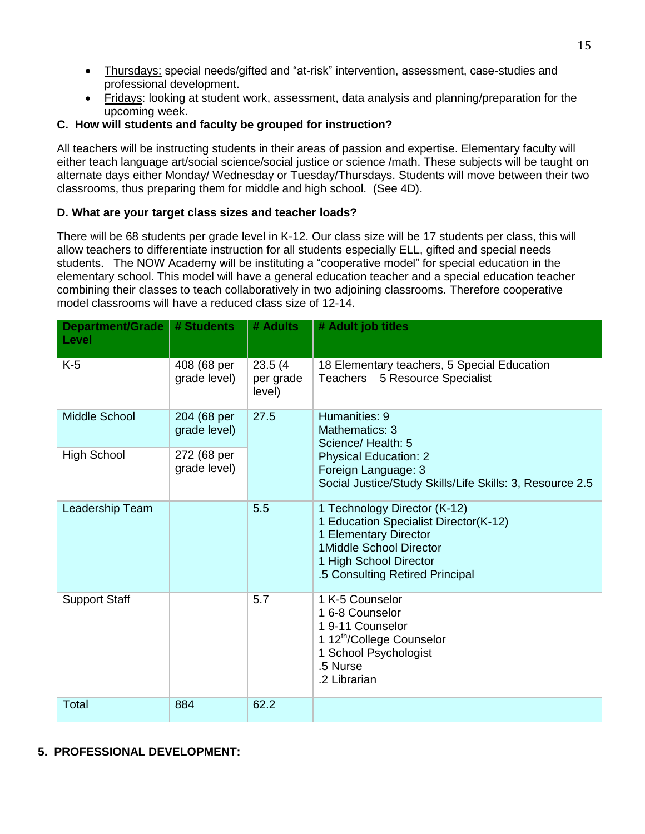- Thursdays: special needs/gifted and "at-risk" intervention, assessment, case-studies and professional development.
- Fridays: looking at student work, assessment, data analysis and planning/preparation for the upcoming week.

# **C. How will students and faculty be grouped for instruction?**

All teachers will be instructing students in their areas of passion and expertise. Elementary faculty will either teach language art/social science/social justice or science /math. These subjects will be taught on alternate days either Monday/ Wednesday or Tuesday/Thursdays. Students will move between their two classrooms, thus preparing them for middle and high school. (See 4D).

# **D. What are your target class sizes and teacher loads?**

There will be 68 students per grade level in K-12. Our class size will be 17 students per class, this will allow teachers to differentiate instruction for all students especially ELL, gifted and special needs students. The NOW Academy will be instituting a "cooperative model" for special education in the elementary school. This model will have a general education teacher and a special education teacher combining their classes to teach collaboratively in two adjoining classrooms. Therefore cooperative model classrooms will have a reduced class size of 12-14.

| <b>Department/Grade</b><br>Level | # Students                  | # Adults                       | # Adult job titles                                                                                                                                                                     |
|----------------------------------|-----------------------------|--------------------------------|----------------------------------------------------------------------------------------------------------------------------------------------------------------------------------------|
| $K-5$                            | 408 (68 per<br>grade level) | 23.5(4)<br>per grade<br>level) | 18 Elementary teachers, 5 Special Education<br><b>Teachers</b><br>5 Resource Specialist                                                                                                |
| Middle School                    | 204 (68 per<br>grade level) | 27.5                           | Humanities: 9<br>Mathematics: 3<br>Science/Health: 5                                                                                                                                   |
| <b>High School</b>               | 272 (68 per<br>grade level) |                                | <b>Physical Education: 2</b><br>Foreign Language: 3<br>Social Justice/Study Skills/Life Skills: 3, Resource 2.5                                                                        |
| Leadership Team                  |                             | 5.5                            | 1 Technology Director (K-12)<br>1 Education Specialist Director(K-12)<br>1 Elementary Director<br>1Middle School Director<br>1 High School Director<br>.5 Consulting Retired Principal |
| <b>Support Staff</b>             |                             | 5.7                            | 1 K-5 Counselor<br>16-8 Counselor<br>19-11 Counselor<br>1 12 <sup>th</sup> /College Counselor<br>1 School Psychologist<br>.5 Nurse<br>.2 Librarian                                     |
| <b>Total</b>                     | 884                         | 62.2                           |                                                                                                                                                                                        |

# **5. PROFESSIONAL DEVELOPMENT:**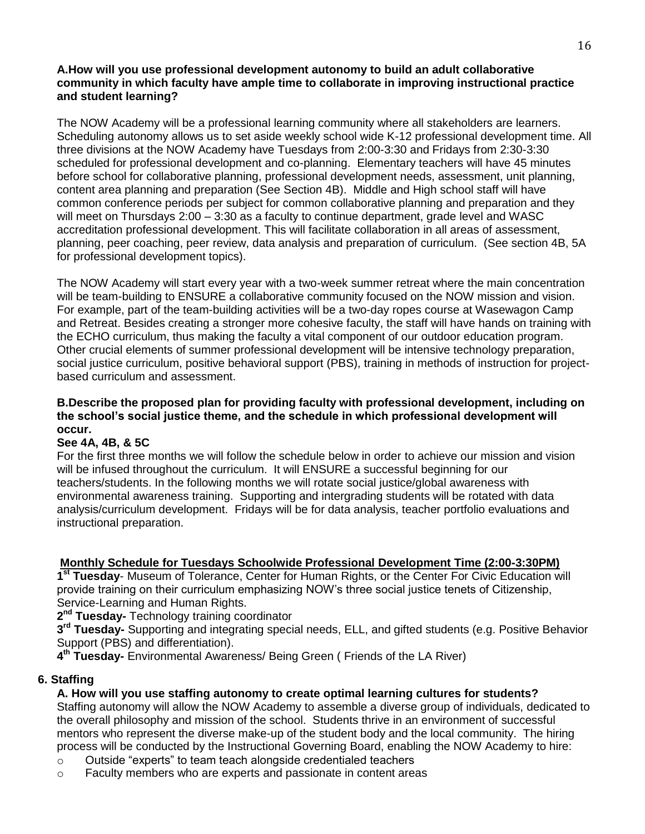#### **A.How will you use professional development autonomy to build an adult collaborative community in which faculty have ample time to collaborate in improving instructional practice and student learning?**

The NOW Academy will be a professional learning community where all stakeholders are learners. Scheduling autonomy allows us to set aside weekly school wide K-12 professional development time. All three divisions at the NOW Academy have Tuesdays from 2:00-3:30 and Fridays from 2:30-3:30 scheduled for professional development and co-planning. Elementary teachers will have 45 minutes before school for collaborative planning, professional development needs, assessment, unit planning, content area planning and preparation (See Section 4B). Middle and High school staff will have common conference periods per subject for common collaborative planning and preparation and they will meet on Thursdays 2:00 – 3:30 as a faculty to continue department, grade level and WASC accreditation professional development. This will facilitate collaboration in all areas of assessment, planning, peer coaching, peer review, data analysis and preparation of curriculum. (See section 4B, 5A for professional development topics).

The NOW Academy will start every year with a two-week summer retreat where the main concentration will be team-building to ENSURE a collaborative community focused on the NOW mission and vision. For example, part of the team-building activities will be a two-day ropes course at Wasewagon Camp and Retreat. Besides creating a stronger more cohesive faculty, the staff will have hands on training with the ECHO curriculum, thus making the faculty a vital component of our outdoor education program. Other crucial elements of summer professional development will be intensive technology preparation, social justice curriculum, positive behavioral support (PBS), training in methods of instruction for projectbased curriculum and assessment.

### **B.Describe the proposed plan for providing faculty with professional development, including on the school's social justice theme, and the schedule in which professional development will occur.**

## **See 4A, 4B, & 5C**

For the first three months we will follow the schedule below in order to achieve our mission and vision will be infused throughout the curriculum. It will ENSURE a successful beginning for our teachers/students. In the following months we will rotate social justice/global awareness with environmental awareness training. Supporting and intergrading students will be rotated with data analysis/curriculum development. Fridays will be for data analysis, teacher portfolio evaluations and instructional preparation.

## **Monthly Schedule for Tuesdays Schoolwide Professional Development Time (2:00-3:30PM)**

1<sup>st</sup> Tuesday- Museum of Tolerance, Center for Human Rights, or the Center For Civic Education will provide training on their curriculum emphasizing NOW's three social justice tenets of Citizenship, Service-Learning and Human Rights.

**2 nd Tuesday-** Technology training coordinator

**3 rd Tuesday-** Supporting and integrating special needs, ELL, and gifted students (e.g. Positive Behavior Support (PBS) and differentiation).

**4 th Tuesday-** Environmental Awareness/ Being Green ( Friends of the LA River)

## **6. Staffing**

## **A. How will you use staffing autonomy to create optimal learning cultures for students?**

Staffing autonomy will allow the NOW Academy to assemble a diverse group of individuals, dedicated to the overall philosophy and mission of the school. Students thrive in an environment of successful mentors who represent the diverse make-up of the student body and the local community. The hiring process will be conducted by the Instructional Governing Board, enabling the NOW Academy to hire:

- o Outside "experts" to team teach alongside credentialed teachers
- $\circ$  Faculty members who are experts and passionate in content areas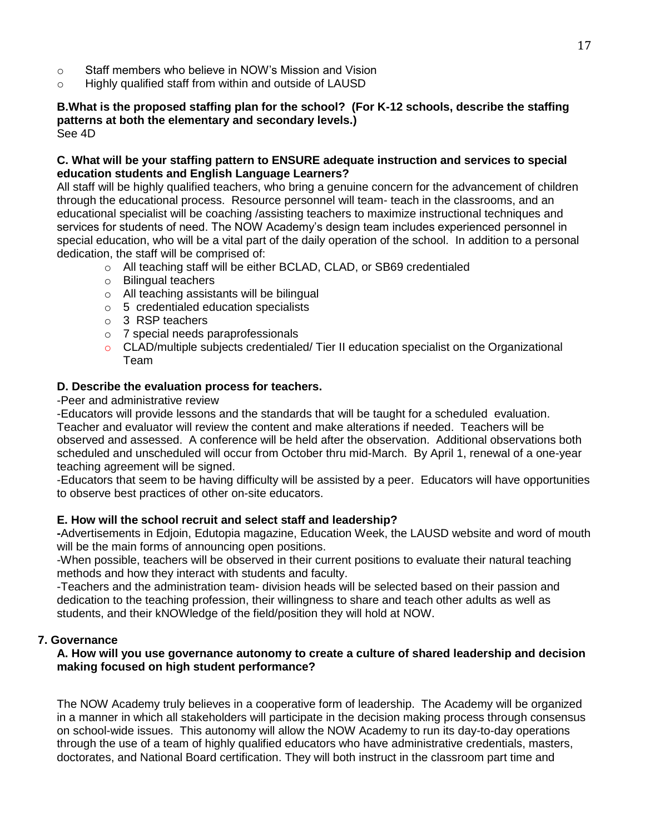- o Staff members who believe in NOW's Mission and Vision
- o Highly qualified staff from within and outside of LAUSD

#### **B.What is the proposed staffing plan for the school? (For K-12 schools, describe the staffing patterns at both the elementary and secondary levels.)** See 4D

## **C. What will be your staffing pattern to ENSURE adequate instruction and services to special education students and English Language Learners?**

All staff will be highly qualified teachers, who bring a genuine concern for the advancement of children through the educational process. Resource personnel will team- teach in the classrooms, and an educational specialist will be coaching /assisting teachers to maximize instructional techniques and services for students of need. The NOW Academy's design team includes experienced personnel in special education, who will be a vital part of the daily operation of the school. In addition to a personal dedication, the staff will be comprised of:

- o All teaching staff will be either BCLAD, CLAD, or SB69 credentialed
- o Bilingual teachers
- o All teaching assistants will be bilingual
- o 5 credentialed education specialists
- o 3 RSP teachers
- o 7 special needs paraprofessionals
- o CLAD/multiple subjects credentialed/ Tier II education specialist on the Organizational Team

## **D. Describe the evaluation process for teachers.**

## -Peer and administrative review

-Educators will provide lessons and the standards that will be taught for a scheduled evaluation. Teacher and evaluator will review the content and make alterations if needed. Teachers will be observed and assessed. A conference will be held after the observation. Additional observations both scheduled and unscheduled will occur from October thru mid-March. By April 1, renewal of a one-year teaching agreement will be signed.

-Educators that seem to be having difficulty will be assisted by a peer. Educators will have opportunities to observe best practices of other on-site educators.

## **E. How will the school recruit and select staff and leadership?**

**-**Advertisements in Edjoin, Edutopia magazine, Education Week, the LAUSD website and word of mouth will be the main forms of announcing open positions.

-When possible, teachers will be observed in their current positions to evaluate their natural teaching methods and how they interact with students and faculty.

-Teachers and the administration team- division heads will be selected based on their passion and dedication to the teaching profession, their willingness to share and teach other adults as well as students, and their kNOWledge of the field/position they will hold at NOW.

## **7. Governance**

## **A. How will you use governance autonomy to create a culture of shared leadership and decision making focused on high student performance?**

The NOW Academy truly believes in a cooperative form of leadership. The Academy will be organized in a manner in which all stakeholders will participate in the decision making process through consensus on school-wide issues. This autonomy will allow the NOW Academy to run its day-to-day operations through the use of a team of highly qualified educators who have administrative credentials, masters, doctorates, and National Board certification. They will both instruct in the classroom part time and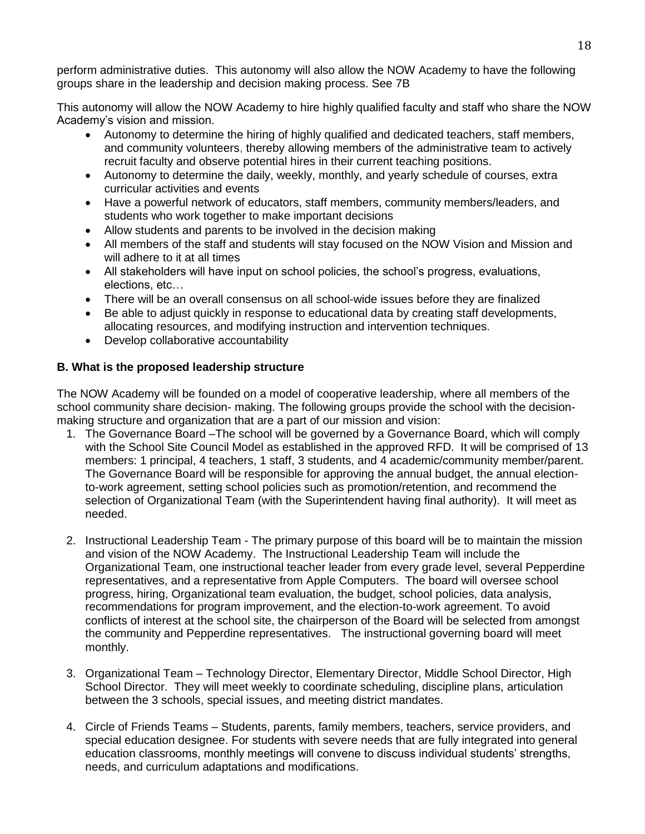perform administrative duties. This autonomy will also allow the NOW Academy to have the following groups share in the leadership and decision making process. See 7B

This autonomy will allow the NOW Academy to hire highly qualified faculty and staff who share the NOW Academy's vision and mission.

- Autonomy to determine the hiring of highly qualified and dedicated teachers, staff members, and community volunteers, thereby allowing members of the administrative team to actively recruit faculty and observe potential hires in their current teaching positions.
- Autonomy to determine the daily, weekly, monthly, and yearly schedule of courses, extra curricular activities and events
- Have a powerful network of educators, staff members, community members/leaders, and students who work together to make important decisions
- Allow students and parents to be involved in the decision making
- All members of the staff and students will stay focused on the NOW Vision and Mission and will adhere to it at all times
- All stakeholders will have input on school policies, the school's progress, evaluations, elections, etc…
- There will be an overall consensus on all school-wide issues before they are finalized
- Be able to adjust quickly in response to educational data by creating staff developments, allocating resources, and modifying instruction and intervention techniques.
- Develop collaborative accountability

## **B. What is the proposed leadership structure**

The NOW Academy will be founded on a model of cooperative leadership, where all members of the school community share decision- making. The following groups provide the school with the decisionmaking structure and organization that are a part of our mission and vision:

- 1. The Governance Board –The school will be governed by a Governance Board, which will comply with the School Site Council Model as established in the approved RFD. It will be comprised of 13 members: 1 principal, 4 teachers, 1 staff, 3 students, and 4 academic/community member/parent. The Governance Board will be responsible for approving the annual budget, the annual electionto-work agreement, setting school policies such as promotion/retention, and recommend the selection of Organizational Team (with the Superintendent having final authority). It will meet as needed.
- 2. Instructional Leadership Team The primary purpose of this board will be to maintain the mission and vision of the NOW Academy. The Instructional Leadership Team will include the Organizational Team, one instructional teacher leader from every grade level, several Pepperdine representatives, and a representative from Apple Computers. The board will oversee school progress, hiring, Organizational team evaluation, the budget, school policies, data analysis, recommendations for program improvement, and the election-to-work agreement. To avoid conflicts of interest at the school site, the chairperson of the Board will be selected from amongst the community and Pepperdine representatives. The instructional governing board will meet monthly.
- 3. Organizational Team Technology Director, Elementary Director, Middle School Director, High School Director. They will meet weekly to coordinate scheduling, discipline plans, articulation between the 3 schools, special issues, and meeting district mandates.
- 4. Circle of Friends Teams Students, parents, family members, teachers, service providers, and special education designee. For students with severe needs that are fully integrated into general education classrooms, monthly meetings will convene to discuss individual students' strengths, needs, and curriculum adaptations and modifications.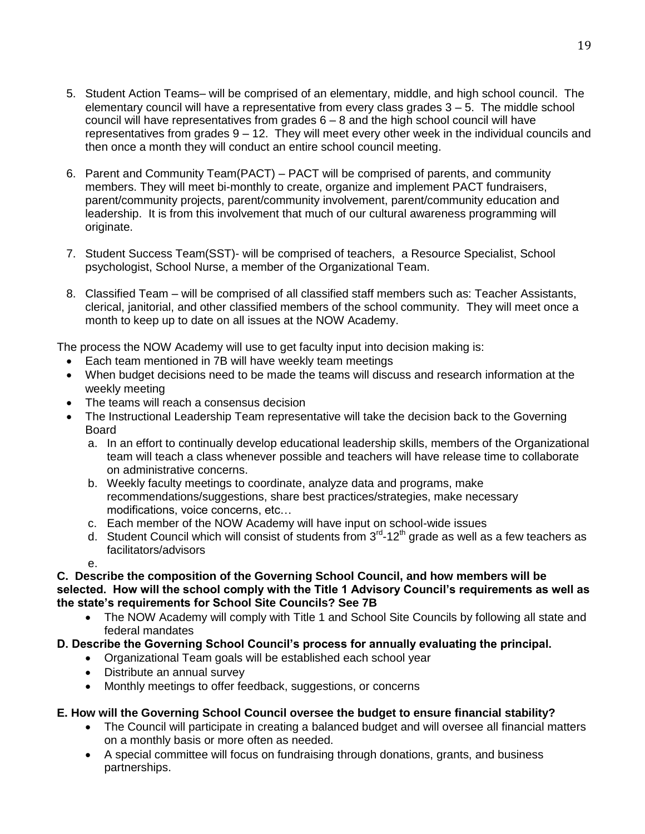- 5. Student Action Teams– will be comprised of an elementary, middle, and high school council. The elementary council will have a representative from every class grades  $3 - 5$ . The middle school council will have representatives from grades  $6 - 8$  and the high school council will have representatives from grades 9 – 12. They will meet every other week in the individual councils and then once a month they will conduct an entire school council meeting.
- 6. Parent and Community Team(PACT) PACT will be comprised of parents, and community members. They will meet bi-monthly to create, organize and implement PACT fundraisers, parent/community projects, parent/community involvement, parent/community education and leadership. It is from this involvement that much of our cultural awareness programming will originate.
- 7. Student Success Team(SST)- will be comprised of teachers, a Resource Specialist, School psychologist, School Nurse, a member of the Organizational Team.
- 8. Classified Team will be comprised of all classified staff members such as: Teacher Assistants, clerical, janitorial, and other classified members of the school community. They will meet once a month to keep up to date on all issues at the NOW Academy.

The process the NOW Academy will use to get faculty input into decision making is:

- Each team mentioned in 7B will have weekly team meetings
- When budget decisions need to be made the teams will discuss and research information at the weekly meeting
- The teams will reach a consensus decision
- The Instructional Leadership Team representative will take the decision back to the Governing Board
	- a. In an effort to continually develop educational leadership skills, members of the Organizational team will teach a class whenever possible and teachers will have release time to collaborate on administrative concerns.
	- b. Weekly faculty meetings to coordinate, analyze data and programs, make recommendations/suggestions, share best practices/strategies, make necessary modifications, voice concerns, etc…
	- c. Each member of the NOW Academy will have input on school-wide issues
	- d. Student Council which will consist of students from  $3<sup>rd</sup>$ -12<sup>th</sup> grade as well as a few teachers as facilitators/advisors

e.

**C. Describe the composition of the Governing School Council, and how members will be selected. How will the school comply with the Title 1 Advisory Council's requirements as well as the state's requirements for School Site Councils? See 7B**

• The NOW Academy will comply with Title 1 and School Site Councils by following all state and federal mandates

# **D. Describe the Governing School Council's process for annually evaluating the principal.**

- Organizational Team goals will be established each school year
- Distribute an annual survey
- Monthly meetings to offer feedback, suggestions, or concerns

# **E. How will the Governing School Council oversee the budget to ensure financial stability?**

- The Council will participate in creating a balanced budget and will oversee all financial matters on a monthly basis or more often as needed.
- A special committee will focus on fundraising through donations, grants, and business partnerships.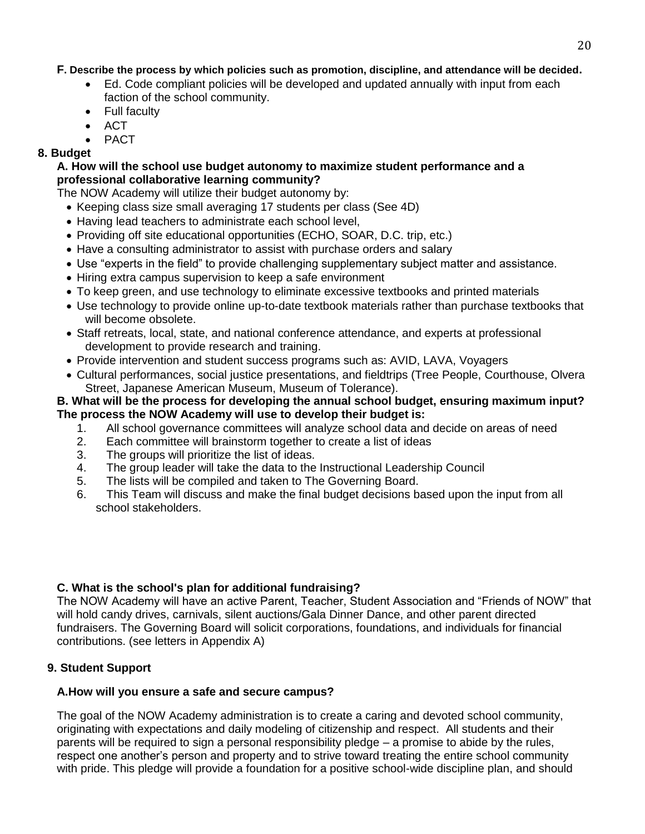## **F. Describe the process by which policies such as promotion, discipline, and attendance will be decided.**

- Ed. Code compliant policies will be developed and updated annually with input from each faction of the school community.
- Full faculty
- $\bullet$  ACT
- PACT

## **8. Budget**

#### **A. How will the school use budget autonomy to maximize student performance and a professional collaborative learning community?**

The NOW Academy will utilize their budget autonomy by:

- Keeping class size small averaging 17 students per class (See 4D)
- Having lead teachers to administrate each school level,
- Providing off site educational opportunities (ECHO, SOAR, D.C. trip, etc.)
- Have a consulting administrator to assist with purchase orders and salary
- Use "experts in the field" to provide challenging supplementary subject matter and assistance.
- Hiring extra campus supervision to keep a safe environment
- To keep green, and use technology to eliminate excessive textbooks and printed materials
- Use technology to provide online up-to-date textbook materials rather than purchase textbooks that will become obsolete.
- Staff retreats, local, state, and national conference attendance, and experts at professional development to provide research and training.
- Provide intervention and student success programs such as: AVID, LAVA, Voyagers
- Cultural performances, social justice presentations, and fieldtrips (Tree People, Courthouse, Olvera Street, Japanese American Museum, Museum of Tolerance).

### **B. What will be the process for developing the annual school budget, ensuring maximum input? The process the NOW Academy will use to develop their budget is:**

- 1. All school governance committees will analyze school data and decide on areas of need
- 2. Each committee will brainstorm together to create a list of ideas
- 3. The groups will prioritize the list of ideas.
- 4. The group leader will take the data to the Instructional Leadership Council
- 5. The lists will be compiled and taken to The Governing Board.
- 6. This Team will discuss and make the final budget decisions based upon the input from all school stakeholders.

## **C. What is the school's plan for additional fundraising?**

The NOW Academy will have an active Parent, Teacher, Student Association and "Friends of NOW" that will hold candy drives, carnivals, silent auctions/Gala Dinner Dance, and other parent directed fundraisers. The Governing Board will solicit corporations, foundations, and individuals for financial contributions. (see letters in Appendix A)

# **9. Student Support**

## **A.How will you ensure a safe and secure campus?**

The goal of the NOW Academy administration is to create a caring and devoted school community, originating with expectations and daily modeling of citizenship and respect. All students and their parents will be required to sign a personal responsibility pledge – a promise to abide by the rules, respect one another's person and property and to strive toward treating the entire school community with pride. This pledge will provide a foundation for a positive school-wide discipline plan, and should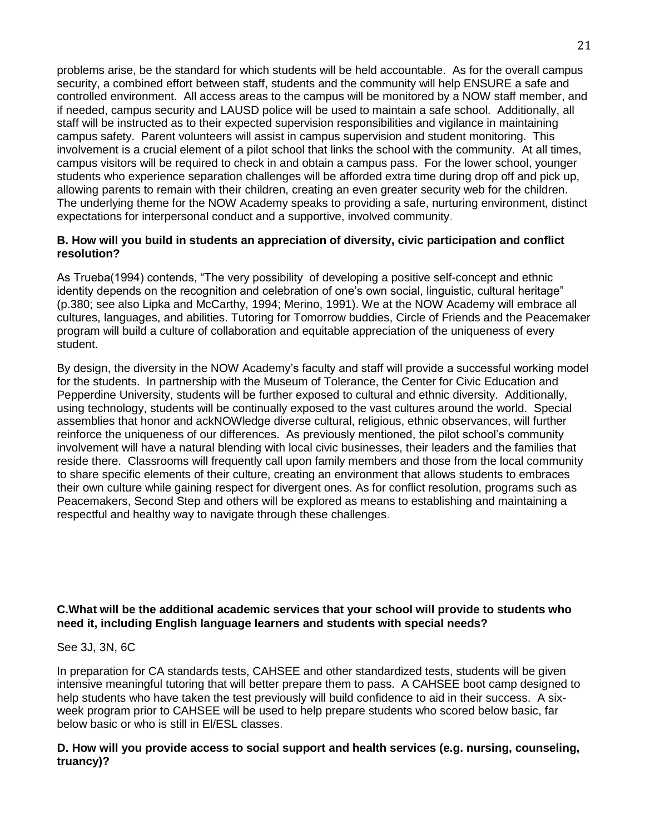problems arise, be the standard for which students will be held accountable. As for the overall campus security, a combined effort between staff, students and the community will help ENSURE a safe and controlled environment. All access areas to the campus will be monitored by a NOW staff member, and if needed, campus security and LAUSD police will be used to maintain a safe school. Additionally, all staff will be instructed as to their expected supervision responsibilities and vigilance in maintaining campus safety. Parent volunteers will assist in campus supervision and student monitoring. This involvement is a crucial element of a pilot school that links the school with the community. At all times, campus visitors will be required to check in and obtain a campus pass. For the lower school, younger students who experience separation challenges will be afforded extra time during drop off and pick up, allowing parents to remain with their children, creating an even greater security web for the children. The underlying theme for the NOW Academy speaks to providing a safe, nurturing environment, distinct expectations for interpersonal conduct and a supportive, involved community.

#### **B. How will you build in students an appreciation of diversity, civic participation and conflict resolution?**

As Trueba(1994) contends, "The very possibility of developing a positive self-concept and ethnic identity depends on the recognition and celebration of one's own social, linguistic, cultural heritage" (p.380; see also Lipka and McCarthy, 1994; Merino, 1991). We at the NOW Academy will embrace all cultures, languages, and abilities. Tutoring for Tomorrow buddies, Circle of Friends and the Peacemaker program will build a culture of collaboration and equitable appreciation of the uniqueness of every student.

By design, the diversity in the NOW Academy's faculty and staff will provide a successful working model for the students. In partnership with the Museum of Tolerance, the Center for Civic Education and Pepperdine University, students will be further exposed to cultural and ethnic diversity. Additionally, using technology, students will be continually exposed to the vast cultures around the world. Special assemblies that honor and ackNOWledge diverse cultural, religious, ethnic observances, will further reinforce the uniqueness of our differences. As previously mentioned, the pilot school's community involvement will have a natural blending with local civic businesses, their leaders and the families that reside there. Classrooms will frequently call upon family members and those from the local community to share specific elements of their culture, creating an environment that allows students to embraces their own culture while gaining respect for divergent ones. As for conflict resolution, programs such as Peacemakers, Second Step and others will be explored as means to establishing and maintaining a respectful and healthy way to navigate through these challenges.

## **C.What will be the additional academic services that your school will provide to students who need it, including English language learners and students with special needs?**

## See 3J, 3N, 6C

In preparation for CA standards tests, CAHSEE and other standardized tests, students will be given intensive meaningful tutoring that will better prepare them to pass. A CAHSEE boot camp designed to help students who have taken the test previously will build confidence to aid in their success. A sixweek program prior to CAHSEE will be used to help prepare students who scored below basic, far below basic or who is still in El/ESL classes.

## **D. How will you provide access to social support and health services (e.g. nursing, counseling, truancy)?**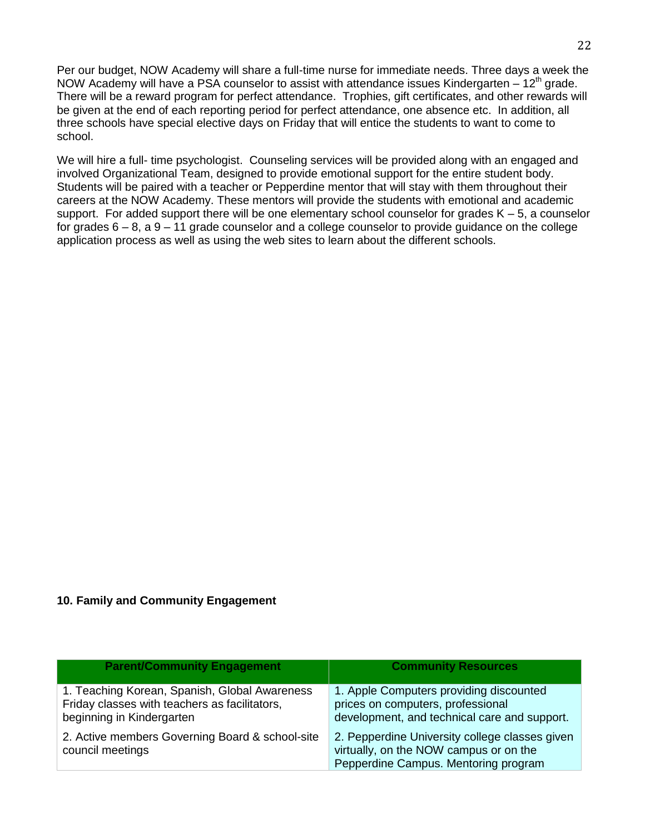Per our budget, NOW Academy will share a full-time nurse for immediate needs. Three days a week the NOW Academy will have a PSA counselor to assist with attendance issues Kindergarten  $-12<sup>th</sup>$  grade. There will be a reward program for perfect attendance. Trophies, gift certificates, and other rewards will be given at the end of each reporting period for perfect attendance, one absence etc. In addition, all three schools have special elective days on Friday that will entice the students to want to come to school.

We will hire a full- time psychologist. Counseling services will be provided along with an engaged and involved Organizational Team, designed to provide emotional support for the entire student body. Students will be paired with a teacher or Pepperdine mentor that will stay with them throughout their careers at the NOW Academy. These mentors will provide the students with emotional and academic support. For added support there will be one elementary school counselor for grades  $K - 5$ , a counselor for grades  $6 - 8$ , a  $9 - 11$  grade counselor and a college counselor to provide guidance on the college application process as well as using the web sites to learn about the different schools.

#### **10. Family and Community Engagement**

| <b>Parent/Community Engagement</b>                                                                                          | <b>Community Resources</b>                                                                                                       |
|-----------------------------------------------------------------------------------------------------------------------------|----------------------------------------------------------------------------------------------------------------------------------|
| 1. Teaching Korean, Spanish, Global Awareness<br>Friday classes with teachers as facilitators,<br>beginning in Kindergarten | 1. Apple Computers providing discounted<br>prices on computers, professional<br>development, and technical care and support.     |
| 2. Active members Governing Board & school-site<br>council meetings                                                         | 2. Pepperdine University college classes given<br>virtually, on the NOW campus or on the<br>Pepperdine Campus. Mentoring program |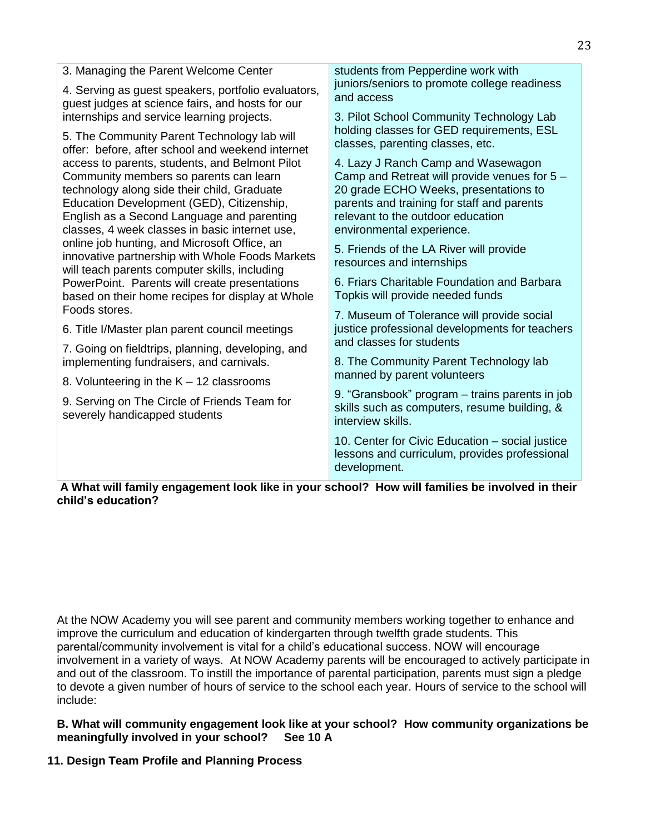| 3. Managing the Parent Welcome Center                                                                                                                                                           | students from Pepperdine work with<br>juniors/seniors to promote college readiness<br>and access                          |
|-------------------------------------------------------------------------------------------------------------------------------------------------------------------------------------------------|---------------------------------------------------------------------------------------------------------------------------|
| 4. Serving as guest speakers, portfolio evaluators,<br>guest judges at science fairs, and hosts for our                                                                                         |                                                                                                                           |
| internships and service learning projects.<br>5. The Community Parent Technology lab will<br>offer: before, after school and weekend internet<br>access to parents, students, and Belmont Pilot | 3. Pilot School Community Technology Lab<br>holding classes for GED requirements, ESL<br>classes, parenting classes, etc. |
|                                                                                                                                                                                                 |                                                                                                                           |
|                                                                                                                                                                                                 | Community members so parents can learn<br>technology along side their child, Graduate                                     |
| Education Development (GED), Citizenship,                                                                                                                                                       | parents and training for staff and parents                                                                                |
| English as a Second Language and parenting<br>classes, 4 week classes in basic internet use,                                                                                                    | relevant to the outdoor education<br>environmental experience.                                                            |
| online job hunting, and Microsoft Office, an<br>innovative partnership with Whole Foods Markets<br>will teach parents computer skills, including                                                | 5. Friends of the LA River will provide                                                                                   |
|                                                                                                                                                                                                 | resources and internships                                                                                                 |
| PowerPoint. Parents will create presentations<br>based on their home recipes for display at Whole                                                                                               | 6. Friars Charitable Foundation and Barbara<br>Topkis will provide needed funds                                           |
| Foods stores.                                                                                                                                                                                   | 7. Museum of Tolerance will provide social                                                                                |
| 6. Title I/Master plan parent council meetings                                                                                                                                                  | justice professional developments for teachers                                                                            |
| 7. Going on fieldtrips, planning, developing, and                                                                                                                                               | and classes for students                                                                                                  |
| implementing fundraisers, and carnivals.                                                                                                                                                        | 8. The Community Parent Technology lab<br>manned by parent volunteers                                                     |
| 8. Volunteering in the $K - 12$ classrooms                                                                                                                                                      |                                                                                                                           |
| 9. Serving on The Circle of Friends Team for<br>severely handicapped students                                                                                                                   | 9. "Gransbook" program - trains parents in job<br>skills such as computers, resume building, &                            |
|                                                                                                                                                                                                 | interview skills.                                                                                                         |
|                                                                                                                                                                                                 | 10. Center for Civic Education - social justice<br>lessons and curriculum, provides professional<br>development.          |
|                                                                                                                                                                                                 |                                                                                                                           |

**A What will family engagement look like in your school? How will families be involved in their child's education?**

At the NOW Academy you will see parent and community members working together to enhance and improve the curriculum and education of kindergarten through twelfth grade students. This parental/community involvement is vital for a child's educational success. NOW will encourage involvement in a variety of ways. At NOW Academy parents will be encouraged to actively participate in and out of the classroom. To instill the importance of parental participation, parents must sign a pledge to devote a given number of hours of service to the school each year. Hours of service to the school will include:

## **B. What will community engagement look like at your school? How community organizations be meaningfully involved in your school? See 10 A**

# **11. Design Team Profile and Planning Process**